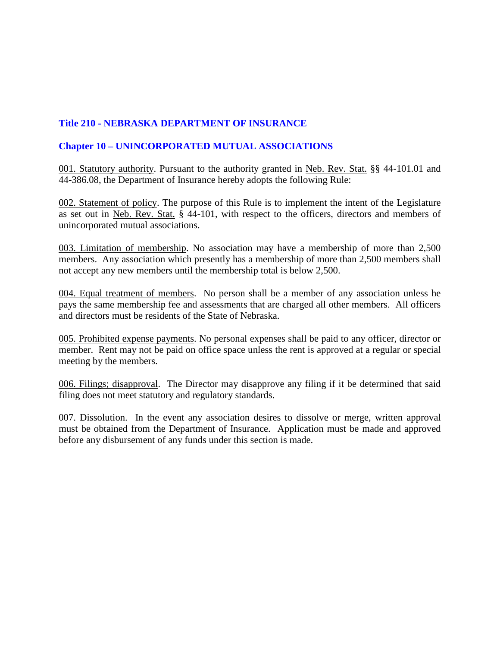## **Title 210 - NEBRASKA DEPARTMENT OF INSURANCE**

## **Chapter 10 – UNINCORPORATED MUTUAL ASSOCIATIONS**

001. Statutory authority. Pursuant to the authority granted in Neb. Rev. Stat. §§ 44-101.01 and 44-386.08, the Department of Insurance hereby adopts the following Rule:

002. Statement of policy. The purpose of this Rule is to implement the intent of the Legislature as set out in Neb. Rev. Stat. § 44-101, with respect to the officers, directors and members of unincorporated mutual associations.

003. Limitation of membership. No association may have a membership of more than 2,500 members. Any association which presently has a membership of more than 2,500 members shall not accept any new members until the membership total is below 2,500.

004. Equal treatment of members. No person shall be a member of any association unless he pays the same membership fee and assessments that are charged all other members. All officers and directors must be residents of the State of Nebraska.

005. Prohibited expense payments. No personal expenses shall be paid to any officer, director or member. Rent may not be paid on office space unless the rent is approved at a regular or special meeting by the members.

006. Filings; disapproval. The Director may disapprove any filing if it be determined that said filing does not meet statutory and regulatory standards.

007. Dissolution. In the event any association desires to dissolve or merge, written approval must be obtained from the Department of Insurance. Application must be made and approved before any disbursement of any funds under this section is made.